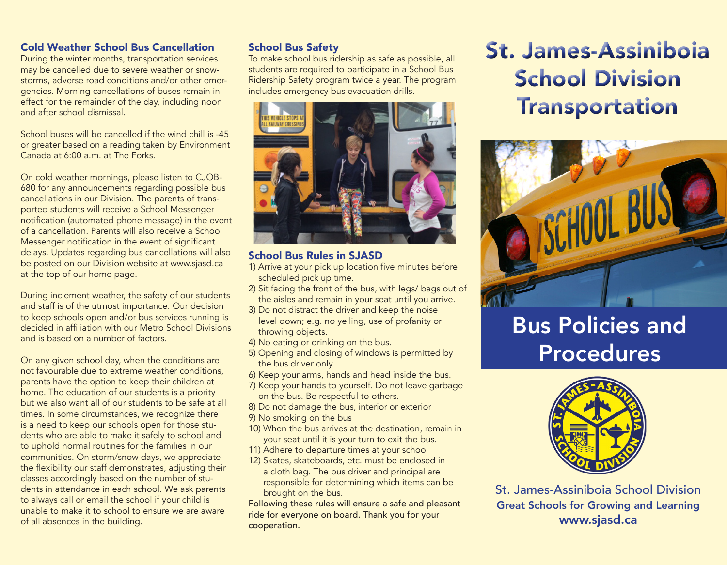## Cold Weather School Bus Cancellation

During the winter months, transportation services may be cancelled due to severe weather or snowstorms, adverse road conditions and/or other emergencies. Morning cancellations of buses remain in effect for the remainder of the day, including noon and after school dismissal.

School buses will be cancelled if the wind chill is -45 or greater based on a reading taken by Environment Canada at 6:00 a.m. at The Forks.

On cold weather mornings, please listen to CJOB-680 for any announcements regarding possible bus cancellations in our Division. The parents of transported students will receive a School Messenger notification (automated phone message) in the event of a cancellation. Parents will also receive a School Messenger notification in the event of significant delays. Updates regarding bus cancellations will also be posted on our Division website at www.sjasd.ca at the top of our home page.

During inclement weather, the safety of our students and staff is of the utmost importance. Our decision to keep schools open and/or bus services running is decided in affiliation with our Metro School Divisions and is based on a number of factors.

On any given school day, when the conditions are not favourable due to extreme weather conditions, parents have the option to keep their children at home. The education of our students is a priority but we also want all of our students to be safe at all times. In some circumstances, we recognize there is a need to keep our schools open for those students who are able to make it safely to school and to uphold normal routines for the families in our communities. On storm/snow days, we appreciate the flexibility our staff demonstrates, adjusting their classes accordingly based on the number of students in attendance in each school. We ask parents to always call or email the school if your child is unable to make it to school to ensure we are aware of all absences in the building.

## School Bus Safety

To make school bus ridership as safe as possible, all students are required to participate in a School Bus Ridership Safety program twice a year. The program includes emergency bus evacuation drills.



### School Bus Rules in SJASD

- 1) Arrive at your pick up location five minutes before scheduled pick up time.
- 2) Sit facing the front of the bus, with legs/ bags out of the aisles and remain in your seat until you arrive.
- 3) Do not distract the driver and keep the noise level down; e.g. no yelling, use of profanity or throwing objects.
- 4) No eating or drinking on the bus.
- 5) Opening and closing of windows is permitted by the bus driver only.
- 6) Keep your arms, hands and head inside the bus.
- 7) Keep your hands to yourself. Do not leave garbage on the bus. Be respectful to others.
- 8) Do not damage the bus, interior or exterior
- 9) No smoking on the bus
- 10) When the bus arrives at the destination, remain in your seat until it is your turn to exit the bus.
- 11) Adhere to departure times at your school
- 12) Skates, skateboards, etc. must be enclosed in a cloth bag. The bus driver and principal are responsible for determining which items can be brought on the bus.

Following these rules will ensure a safe and pleasant ride for everyone on board. Thank you for your cooperation.

# St. James-Assiniboia School Division Transportation



# Bus Policies and Procedures



St. James-Assiniboia School Division Great Schools for Growing and Learning www.sjasd.ca